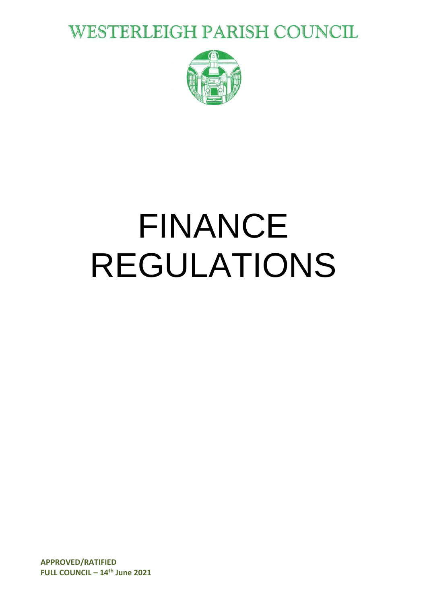**WESTERLEIGH PARISH COUNCIL** 



# FINANCE REGULATIONS

**APPROVED/RATIFIED FULL COUNCIL – 14th June 2021**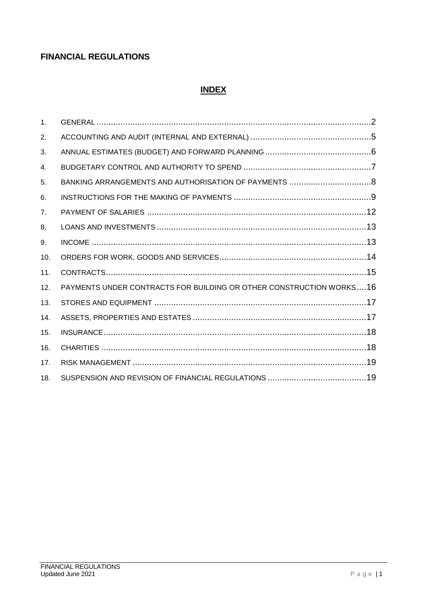# **FINANCIAL REGULATIONS**

#### **INDEX**

| 1 <sub>1</sub> |                                                                     |  |
|----------------|---------------------------------------------------------------------|--|
| 2.             |                                                                     |  |
| 3.             |                                                                     |  |
| 4.             |                                                                     |  |
| 5.             |                                                                     |  |
| 6.             |                                                                     |  |
| 7 <sub>1</sub> |                                                                     |  |
| 8.             |                                                                     |  |
| 9.             |                                                                     |  |
| 10.            |                                                                     |  |
| 11.            |                                                                     |  |
| 12.            | PAYMENTS UNDER CONTRACTS FOR BUILDING OR OTHER CONSTRUCTION WORKS16 |  |
| 13.            |                                                                     |  |
| 14.            |                                                                     |  |
| 15.            |                                                                     |  |
| 16.            |                                                                     |  |
| 17.            |                                                                     |  |
| 18.            |                                                                     |  |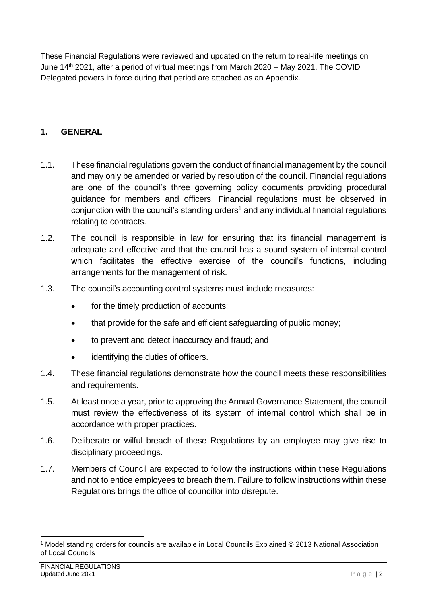These Financial Regulations were reviewed and updated on the return to real-life meetings on June 14<sup>th</sup> 2021, after a period of virtual meetings from March 2020 – May 2021. The COVID Delegated powers in force during that period are attached as an Appendix.

#### <span id="page-2-0"></span>**1. GENERAL**

- 1.1. These financial regulations govern the conduct of financial management by the council and may only be amended or varied by resolution of the council. Financial regulations are one of the council's three governing policy documents providing procedural guidance for members and officers. Financial regulations must be observed in conjunction with the council's standing orders<sup>1</sup> and any individual financial regulations relating to contracts.
- 1.2. The council is responsible in law for ensuring that its financial management is adequate and effective and that the council has a sound system of internal control which facilitates the effective exercise of the council's functions, including arrangements for the management of risk.
- 1.3. The council's accounting control systems must include measures:
	- for the timely production of accounts;
	- that provide for the safe and efficient safeguarding of public money;
	- to prevent and detect inaccuracy and fraud; and
	- identifying the duties of officers.
- 1.4. These financial regulations demonstrate how the council meets these responsibilities and requirements.
- 1.5. At least once a year, prior to approving the Annual Governance Statement, the council must review the effectiveness of its system of internal control which shall be in accordance with proper practices.
- 1.6. Deliberate or wilful breach of these Regulations by an employee may give rise to disciplinary proceedings.
- 1.7. Members of Council are expected to follow the instructions within these Regulations and not to entice employees to breach them. Failure to follow instructions within these Regulations brings the office of councillor into disrepute.

1

<sup>1</sup> Model standing orders for councils are available in Local Councils Explained © 2013 National Association of Local Councils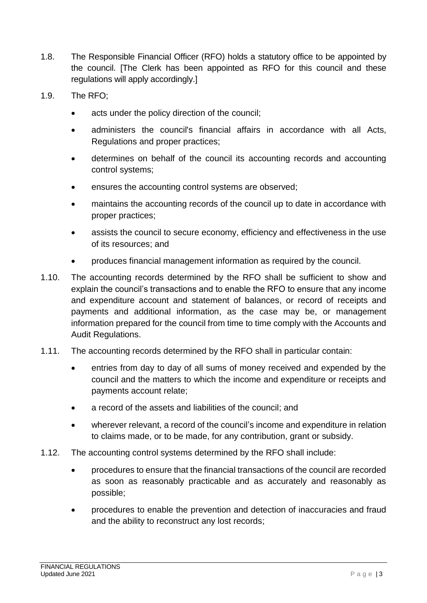- 1.8. The Responsible Financial Officer (RFO) holds a statutory office to be appointed by the council. [The Clerk has been appointed as RFO for this council and these regulations will apply accordingly.]
- 1.9. The RFO;
	- acts under the policy direction of the council;
	- administers the council's financial affairs in accordance with all Acts, Regulations and proper practices;
	- determines on behalf of the council its accounting records and accounting control systems;
	- ensures the accounting control systems are observed;
	- maintains the accounting records of the council up to date in accordance with proper practices;
	- assists the council to secure economy, efficiency and effectiveness in the use of its resources; and
	- produces financial management information as required by the council.
- 1.10. The accounting records determined by the RFO shall be sufficient to show and explain the council's transactions and to enable the RFO to ensure that any income and expenditure account and statement of balances, or record of receipts and payments and additional information, as the case may be, or management information prepared for the council from time to time comply with the Accounts and Audit Regulations.
- 1.11. The accounting records determined by the RFO shall in particular contain:
	- entries from day to day of all sums of money received and expended by the council and the matters to which the income and expenditure or receipts and payments account relate;
	- a record of the assets and liabilities of the council; and
	- wherever relevant, a record of the council's income and expenditure in relation to claims made, or to be made, for any contribution, grant or subsidy.
- 1.12. The accounting control systems determined by the RFO shall include:
	- procedures to ensure that the financial transactions of the council are recorded as soon as reasonably practicable and as accurately and reasonably as possible;
	- procedures to enable the prevention and detection of inaccuracies and fraud and the ability to reconstruct any lost records;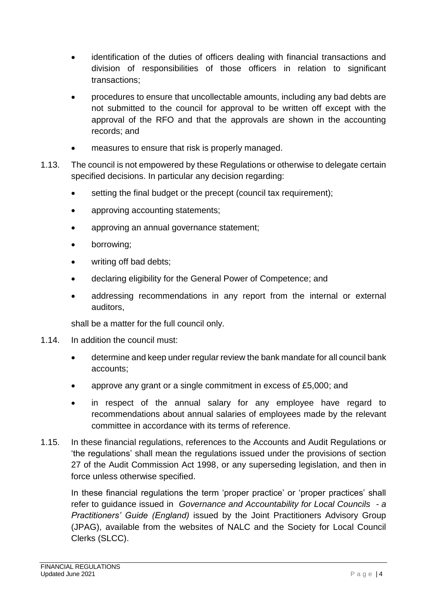- identification of the duties of officers dealing with financial transactions and division of responsibilities of those officers in relation to significant transactions;
- procedures to ensure that uncollectable amounts, including any bad debts are not submitted to the council for approval to be written off except with the approval of the RFO and that the approvals are shown in the accounting records; and
- measures to ensure that risk is properly managed.
- 1.13. The council is not empowered by these Regulations or otherwise to delegate certain specified decisions. In particular any decision regarding:
	- setting the final budget or the precept (council tax requirement):
	- approving accounting statements;
	- approving an annual governance statement;
	- borrowing;
	- writing off bad debts;
	- declaring eligibility for the General Power of Competence; and
	- addressing recommendations in any report from the internal or external auditors,

shall be a matter for the full council only.

- 1.14. In addition the council must:
	- determine and keep under regular review the bank mandate for all council bank accounts;
	- approve any grant or a single commitment in excess of £5,000; and
	- in respect of the annual salary for any employee have regard to recommendations about annual salaries of employees made by the relevant committee in accordance with its terms of reference.
- 1.15. In these financial regulations, references to the Accounts and Audit Regulations or 'the regulations' shall mean the regulations issued under the provisions of section 27 of the Audit Commission Act 1998, or any superseding legislation, and then in force unless otherwise specified.

<span id="page-4-0"></span>In these financial regulations the term 'proper practice' or 'proper practices' shall refer to guidance issued in *Governance and Accountability for Local Councils - a Practitioners' Guide (England)* issued by the Joint Practitioners Advisory Group (JPAG), available from the websites of NALC and the Society for Local Council Clerks (SLCC).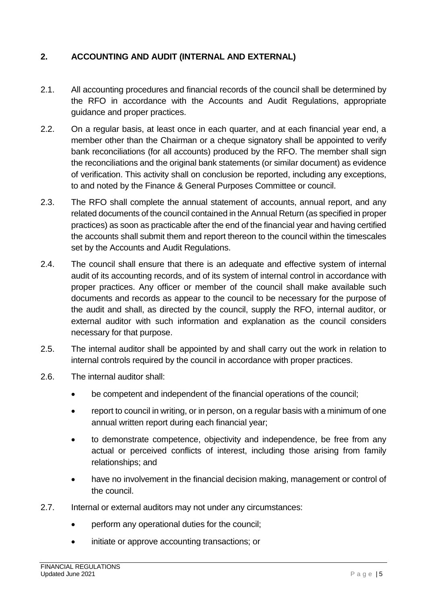#### **2. ACCOUNTING AND AUDIT (INTERNAL AND EXTERNAL)**

- 2.1. All accounting procedures and financial records of the council shall be determined by the RFO in accordance with the Accounts and Audit Regulations, appropriate guidance and proper practices.
- 2.2. On a regular basis, at least once in each quarter, and at each financial year end, a member other than the Chairman or a cheque signatory shall be appointed to verify bank reconciliations (for all accounts) produced by the RFO. The member shall sign the reconciliations and the original bank statements (or similar document) as evidence of verification. This activity shall on conclusion be reported, including any exceptions, to and noted by the Finance & General Purposes Committee or council.
- 2.3. The RFO shall complete the annual statement of accounts, annual report, and any related documents of the council contained in the Annual Return (as specified in proper practices) as soon as practicable after the end of the financial year and having certified the accounts shall submit them and report thereon to the council within the timescales set by the Accounts and Audit Regulations.
- 2.4. The council shall ensure that there is an adequate and effective system of internal audit of its accounting records, and of its system of internal control in accordance with proper practices. Any officer or member of the council shall make available such documents and records as appear to the council to be necessary for the purpose of the audit and shall, as directed by the council, supply the RFO, internal auditor, or external auditor with such information and explanation as the council considers necessary for that purpose.
- 2.5. The internal auditor shall be appointed by and shall carry out the work in relation to internal controls required by the council in accordance with proper practices.
- 2.6. The internal auditor shall:
	- be competent and independent of the financial operations of the council;
	- report to council in writing, or in person, on a regular basis with a minimum of one annual written report during each financial year;
	- to demonstrate competence, objectivity and independence, be free from any actual or perceived conflicts of interest, including those arising from family relationships; and
	- have no involvement in the financial decision making, management or control of the council.
- 2.7. Internal or external auditors may not under any circumstances:
	- perform any operational duties for the council;
	- initiate or approve accounting transactions; or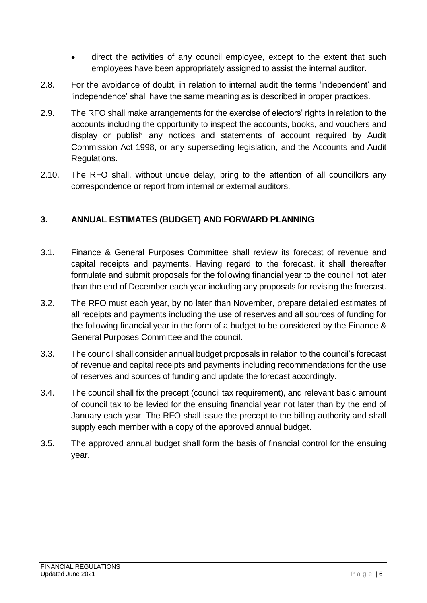- direct the activities of any council employee, except to the extent that such employees have been appropriately assigned to assist the internal auditor.
- 2.8. For the avoidance of doubt, in relation to internal audit the terms 'independent' and 'independence' shall have the same meaning as is described in proper practices.
- 2.9. The RFO shall make arrangements for the exercise of electors' rights in relation to the accounts including the opportunity to inspect the accounts, books, and vouchers and display or publish any notices and statements of account required by Audit Commission Act 1998, or any superseding legislation, and the Accounts and Audit Regulations.
- 2.10. The RFO shall, without undue delay, bring to the attention of all councillors any correspondence or report from internal or external auditors.

#### <span id="page-6-0"></span>**3. ANNUAL ESTIMATES (BUDGET) AND FORWARD PLANNING**

- 3.1. Finance & General Purposes Committee shall review its forecast of revenue and capital receipts and payments. Having regard to the forecast, it shall thereafter formulate and submit proposals for the following financial year to the council not later than the end of December each year including any proposals for revising the forecast.
- 3.2. The RFO must each year, by no later than November, prepare detailed estimates of all receipts and payments including the use of reserves and all sources of funding for the following financial year in the form of a budget to be considered by the Finance & General Purposes Committee and the council.
- 3.3. The council shall consider annual budget proposals in relation to the council's forecast of revenue and capital receipts and payments including recommendations for the use of reserves and sources of funding and update the forecast accordingly.
- 3.4. The council shall fix the precept (council tax requirement), and relevant basic amount of council tax to be levied for the ensuing financial year not later than by the end of January each year. The RFO shall issue the precept to the billing authority and shall supply each member with a copy of the approved annual budget.
- <span id="page-6-1"></span>3.5. The approved annual budget shall form the basis of financial control for the ensuing year.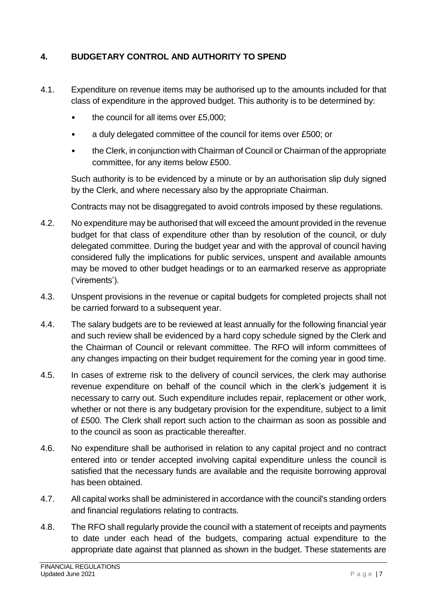#### **4. BUDGETARY CONTROL AND AUTHORITY TO SPEND**

- 4.1. Expenditure on revenue items may be authorised up to the amounts included for that class of expenditure in the approved budget. This authority is to be determined by:
	- the council for all items over £5,000;
	- a duly delegated committee of the council for items over £500; or
	- the Clerk, in conjunction with Chairman of Council or Chairman of the appropriate committee, for any items below £500.

Such authority is to be evidenced by a minute or by an authorisation slip duly signed by the Clerk, and where necessary also by the appropriate Chairman.

Contracts may not be disaggregated to avoid controls imposed by these regulations.

- 4.2. No expenditure may be authorised that will exceed the amount provided in the revenue budget for that class of expenditure other than by resolution of the council, or duly delegated committee. During the budget year and with the approval of council having considered fully the implications for public services, unspent and available amounts may be moved to other budget headings or to an earmarked reserve as appropriate ('virements').
- 4.3. Unspent provisions in the revenue or capital budgets for completed projects shall not be carried forward to a subsequent year.
- 4.4. The salary budgets are to be reviewed at least annually for the following financial year and such review shall be evidenced by a hard copy schedule signed by the Clerk and the Chairman of Council or relevant committee. The RFO will inform committees of any changes impacting on their budget requirement for the coming year in good time.
- 4.5. In cases of extreme risk to the delivery of council services, the clerk may authorise revenue expenditure on behalf of the council which in the clerk's judgement it is necessary to carry out. Such expenditure includes repair, replacement or other work, whether or not there is any budgetary provision for the expenditure, subject to a limit of £500. The Clerk shall report such action to the chairman as soon as possible and to the council as soon as practicable thereafter.
- 4.6. No expenditure shall be authorised in relation to any capital project and no contract entered into or tender accepted involving capital expenditure unless the council is satisfied that the necessary funds are available and the requisite borrowing approval has been obtained.
- 4.7. All capital works shall be administered in accordance with the council's standing orders and financial regulations relating to contracts.
- 4.8. The RFO shall regularly provide the council with a statement of receipts and payments to date under each head of the budgets, comparing actual expenditure to the appropriate date against that planned as shown in the budget. These statements are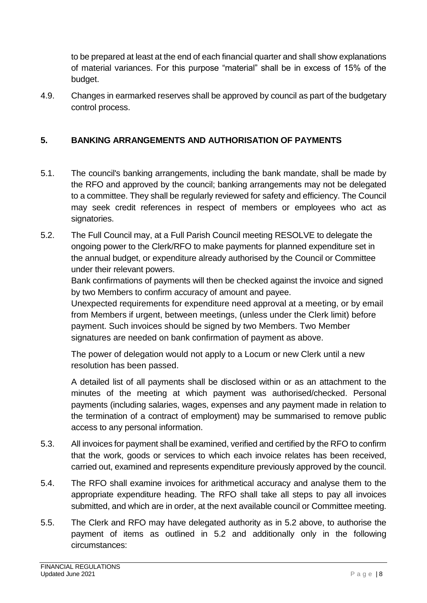to be prepared at least at the end of each financial quarter and shall show explanations of material variances. For this purpose "material" shall be in excess of 15% of the budget.

4.9. Changes in earmarked reserves shall be approved by council as part of the budgetary control process.

## <span id="page-8-0"></span>**5. BANKING ARRANGEMENTS AND AUTHORISATION OF PAYMENTS**

- 5.1. The council's banking arrangements, including the bank mandate, shall be made by the RFO and approved by the council; banking arrangements may not be delegated to a committee. They shall be regularly reviewed for safety and efficiency. The Council may seek credit references in respect of members or employees who act as signatories.
- 5.2. The Full Council may, at a Full Parish Council meeting RESOLVE to delegate the ongoing power to the Clerk/RFO to make payments for planned expenditure set in the annual budget, or expenditure already authorised by the Council or Committee under their relevant powers.

Bank confirmations of payments will then be checked against the invoice and signed by two Members to confirm accuracy of amount and payee.

Unexpected requirements for expenditure need approval at a meeting, or by email from Members if urgent, between meetings, (unless under the Clerk limit) before payment. Such invoices should be signed by two Members. Two Member signatures are needed on bank confirmation of payment as above.

The power of delegation would not apply to a Locum or new Clerk until a new resolution has been passed.

A detailed list of all payments shall be disclosed within or as an attachment to the minutes of the meeting at which payment was authorised/checked. Personal payments (including salaries, wages, expenses and any payment made in relation to the termination of a contract of employment) may be summarised to remove public access to any personal information.

- 5.3. All invoices for payment shall be examined, verified and certified by the RFO to confirm that the work, goods or services to which each invoice relates has been received, carried out, examined and represents expenditure previously approved by the council.
- 5.4. The RFO shall examine invoices for arithmetical accuracy and analyse them to the appropriate expenditure heading. The RFO shall take all steps to pay all invoices submitted, and which are in order, at the next available council or Committee meeting.
- 5.5. The Clerk and RFO may have delegated authority as in 5.2 above, to authorise the payment of items as outlined in 5.2 and additionally only in the following circumstances: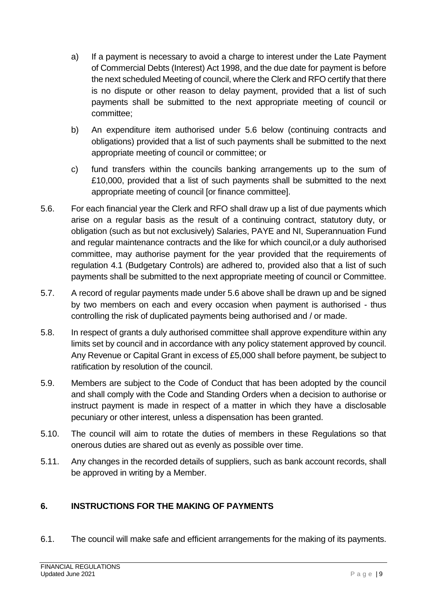- a) If a payment is necessary to avoid a charge to interest under the Late Payment of Commercial Debts (Interest) Act 1998, and the due date for payment is before the next scheduled Meeting of council, where the Clerk and RFO certify that there is no dispute or other reason to delay payment, provided that a list of such payments shall be submitted to the next appropriate meeting of council or committee;
- b) An expenditure item authorised under 5.6 below (continuing contracts and obligations) provided that a list of such payments shall be submitted to the next appropriate meeting of council or committee; or
- c) fund transfers within the councils banking arrangements up to the sum of £10,000, provided that a list of such payments shall be submitted to the next appropriate meeting of council [or finance committee].
- 5.6. For each financial year the Clerk and RFO shall draw up a list of due payments which arise on a regular basis as the result of a continuing contract, statutory duty, or obligation (such as but not exclusively) Salaries, PAYE and NI, Superannuation Fund and regular maintenance contracts and the like for which council,or a duly authorised committee, may authorise payment for the year provided that the requirements of regulation 4.1 (Budgetary Controls) are adhered to, provided also that a list of such payments shall be submitted to the next appropriate meeting of council or Committee.
- 5.7. A record of regular payments made under 5.6 above shall be drawn up and be signed by two members on each and every occasion when payment is authorised - thus controlling the risk of duplicated payments being authorised and / or made.
- 5.8. In respect of grants a duly authorised committee shall approve expenditure within any limits set by council and in accordance with any policy statement approved by council. Any Revenue or Capital Grant in excess of £5,000 shall before payment, be subject to ratification by resolution of the council.
- 5.9. Members are subject to the Code of Conduct that has been adopted by the council and shall comply with the Code and Standing Orders when a decision to authorise or instruct payment is made in respect of a matter in which they have a disclosable pecuniary or other interest, unless a dispensation has been granted.
- 5.10. The council will aim to rotate the duties of members in these Regulations so that onerous duties are shared out as evenly as possible over time.
- 5.11. Any changes in the recorded details of suppliers, such as bank account records, shall be approved in writing by a Member.

#### <span id="page-9-0"></span>**6. INSTRUCTIONS FOR THE MAKING OF PAYMENTS**

6.1. The council will make safe and efficient arrangements for the making of its payments.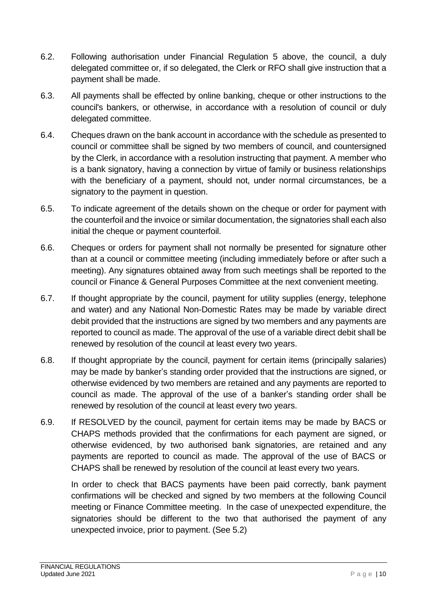- 6.2. Following authorisation under Financial Regulation 5 above, the council, a duly delegated committee or, if so delegated, the Clerk or RFO shall give instruction that a payment shall be made.
- 6.3. All payments shall be effected by online banking, cheque or other instructions to the council's bankers, or otherwise, in accordance with a resolution of council or duly delegated committee.
- 6.4. Cheques drawn on the bank account in accordance with the schedule as presented to council or committee shall be signed by two members of council, and countersigned by the Clerk, in accordance with a resolution instructing that payment. A member who is a bank signatory, having a connection by virtue of family or business relationships with the beneficiary of a payment, should not, under normal circumstances, be a signatory to the payment in question.
- 6.5. To indicate agreement of the details shown on the cheque or order for payment with the counterfoil and the invoice or similar documentation, the signatories shall each also initial the cheque or payment counterfoil.
- 6.6. Cheques or orders for payment shall not normally be presented for signature other than at a council or committee meeting (including immediately before or after such a meeting). Any signatures obtained away from such meetings shall be reported to the council or Finance & General Purposes Committee at the next convenient meeting.
- 6.7. If thought appropriate by the council, payment for utility supplies (energy, telephone and water) and any National Non-Domestic Rates may be made by variable direct debit provided that the instructions are signed by two members and any payments are reported to council as made. The approval of the use of a variable direct debit shall be renewed by resolution of the council at least every two years.
- 6.8. If thought appropriate by the council, payment for certain items (principally salaries) may be made by banker's standing order provided that the instructions are signed, or otherwise evidenced by two members are retained and any payments are reported to council as made. The approval of the use of a banker's standing order shall be renewed by resolution of the council at least every two years.
- 6.9. If RESOLVED by the council, payment for certain items may be made by BACS or CHAPS methods provided that the confirmations for each payment are signed, or otherwise evidenced, by two authorised bank signatories, are retained and any payments are reported to council as made. The approval of the use of BACS or CHAPS shall be renewed by resolution of the council at least every two years.

In order to check that BACS payments have been paid correctly, bank payment confirmations will be checked and signed by two members at the following Council meeting or Finance Committee meeting. In the case of unexpected expenditure, the signatories should be different to the two that authorised the payment of any unexpected invoice, prior to payment. (See 5.2)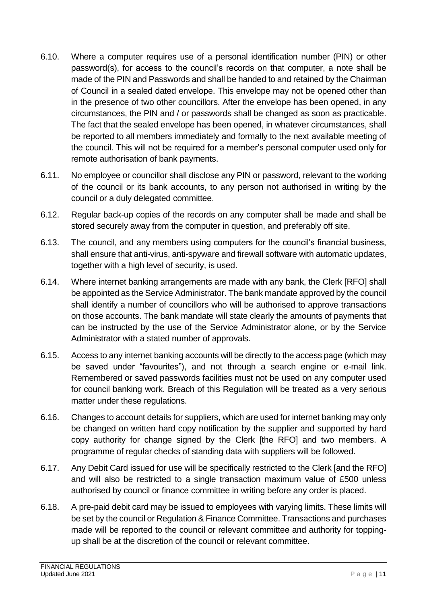- 6.10. Where a computer requires use of a personal identification number (PIN) or other password(s), for access to the council's records on that computer, a note shall be made of the PIN and Passwords and shall be handed to and retained by the Chairman of Council in a sealed dated envelope. This envelope may not be opened other than in the presence of two other councillors. After the envelope has been opened, in any circumstances, the PIN and / or passwords shall be changed as soon as practicable. The fact that the sealed envelope has been opened, in whatever circumstances, shall be reported to all members immediately and formally to the next available meeting of the council. This will not be required for a member's personal computer used only for remote authorisation of bank payments.
- 6.11. No employee or councillor shall disclose any PIN or password, relevant to the working of the council or its bank accounts, to any person not authorised in writing by the council or a duly delegated committee.
- 6.12. Regular back-up copies of the records on any computer shall be made and shall be stored securely away from the computer in question, and preferably off site.
- 6.13. The council, and any members using computers for the council's financial business, shall ensure that anti-virus, anti-spyware and firewall software with automatic updates, together with a high level of security, is used.
- 6.14. Where internet banking arrangements are made with any bank, the Clerk [RFO] shall be appointed as the Service Administrator. The bank mandate approved by the council shall identify a number of councillors who will be authorised to approve transactions on those accounts. The bank mandate will state clearly the amounts of payments that can be instructed by the use of the Service Administrator alone, or by the Service Administrator with a stated number of approvals.
- 6.15. Access to any internet banking accounts will be directly to the access page (which may be saved under "favourites"), and not through a search engine or e-mail link. Remembered or saved passwords facilities must not be used on any computer used for council banking work. Breach of this Regulation will be treated as a very serious matter under these regulations.
- 6.16. Changes to account details for suppliers, which are used for internet banking may only be changed on written hard copy notification by the supplier and supported by hard copy authority for change signed by the Clerk [the RFO] and two members. A programme of regular checks of standing data with suppliers will be followed.
- 6.17. Any Debit Card issued for use will be specifically restricted to the Clerk [and the RFO] and will also be restricted to a single transaction maximum value of £500 unless authorised by council or finance committee in writing before any order is placed.
- 6.18. A pre-paid debit card may be issued to employees with varying limits. These limits will be set by the council or Regulation & Finance Committee. Transactions and purchases made will be reported to the council or relevant committee and authority for toppingup shall be at the discretion of the council or relevant committee.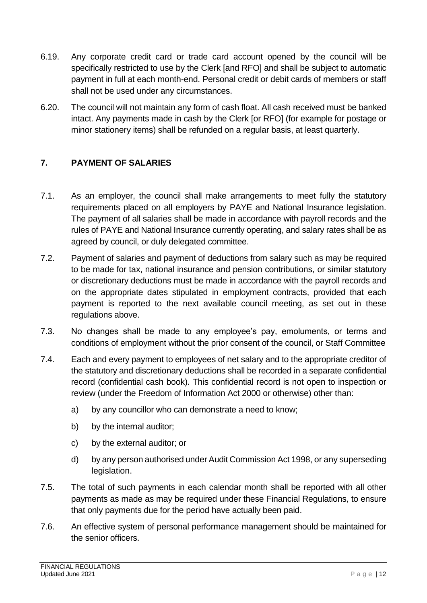- 6.19. Any corporate credit card or trade card account opened by the council will be specifically restricted to use by the Clerk [and RFO] and shall be subject to automatic payment in full at each month-end. Personal credit or debit cards of members or staff shall not be used under any circumstances.
- 6.20. The council will not maintain any form of cash float. All cash received must be banked intact. Any payments made in cash by the Clerk [or RFO] (for example for postage or minor stationery items) shall be refunded on a regular basis, at least quarterly.

## <span id="page-12-0"></span>**7. PAYMENT OF SALARIES**

- 7.1. As an employer, the council shall make arrangements to meet fully the statutory requirements placed on all employers by PAYE and National Insurance legislation. The payment of all salaries shall be made in accordance with payroll records and the rules of PAYE and National Insurance currently operating, and salary rates shall be as agreed by council, or duly delegated committee.
- 7.2. Payment of salaries and payment of deductions from salary such as may be required to be made for tax, national insurance and pension contributions, or similar statutory or discretionary deductions must be made in accordance with the payroll records and on the appropriate dates stipulated in employment contracts, provided that each payment is reported to the next available council meeting, as set out in these regulations above.
- 7.3. No changes shall be made to any employee's pay, emoluments, or terms and conditions of employment without the prior consent of the council, or Staff Committee
- 7.4. Each and every payment to employees of net salary and to the appropriate creditor of the statutory and discretionary deductions shall be recorded in a separate confidential record (confidential cash book). This confidential record is not open to inspection or review (under the Freedom of Information Act 2000 or otherwise) other than:
	- a) by any councillor who can demonstrate a need to know;
	- b) by the internal auditor;
	- c) by the external auditor; or
	- d) by any person authorised under Audit Commission Act 1998, or any superseding legislation.
- 7.5. The total of such payments in each calendar month shall be reported with all other payments as made as may be required under these Financial Regulations, to ensure that only payments due for the period have actually been paid.
- 7.6. An effective system of personal performance management should be maintained for the senior officers.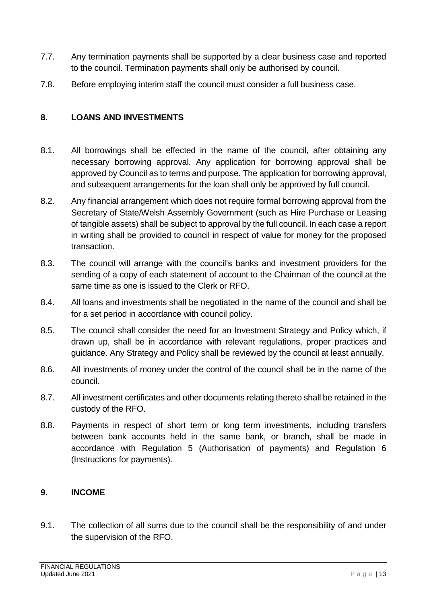- 7.7. Any termination payments shall be supported by a clear business case and reported to the council. Termination payments shall only be authorised by council.
- 7.8. Before employing interim staff the council must consider a full business case.

#### <span id="page-13-0"></span>**8. LOANS AND INVESTMENTS**

- 8.1. All borrowings shall be effected in the name of the council, after obtaining any necessary borrowing approval. Any application for borrowing approval shall be approved by Council as to terms and purpose. The application for borrowing approval, and subsequent arrangements for the loan shall only be approved by full council.
- 8.2. Any financial arrangement which does not require formal borrowing approval from the Secretary of State/Welsh Assembly Government (such as Hire Purchase or Leasing of tangible assets) shall be subject to approval by the full council. In each case a report in writing shall be provided to council in respect of value for money for the proposed transaction.
- 8.3. The council will arrange with the council's banks and investment providers for the sending of a copy of each statement of account to the Chairman of the council at the same time as one is issued to the Clerk or RFO.
- 8.4. All loans and investments shall be negotiated in the name of the council and shall be for a set period in accordance with council policy.
- 8.5. The council shall consider the need for an Investment Strategy and Policy which, if drawn up, shall be in accordance with relevant regulations, proper practices and guidance. Any Strategy and Policy shall be reviewed by the council at least annually.
- 8.6. All investments of money under the control of the council shall be in the name of the council.
- 8.7. All investment certificates and other documents relating thereto shall be retained in the custody of the RFO.
- 8.8. Payments in respect of short term or long term investments, including transfers between bank accounts held in the same bank, or branch, shall be made in accordance with Regulation 5 (Authorisation of payments) and Regulation 6 (Instructions for payments).

#### <span id="page-13-1"></span>**9. INCOME**

9.1. The collection of all sums due to the council shall be the responsibility of and under the supervision of the RFO.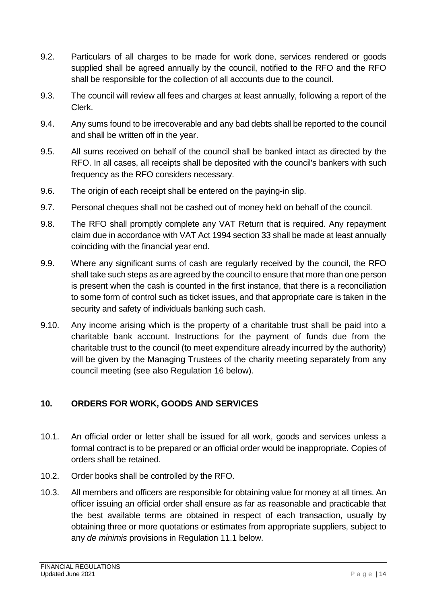- 9.2. Particulars of all charges to be made for work done, services rendered or goods supplied shall be agreed annually by the council, notified to the RFO and the RFO shall be responsible for the collection of all accounts due to the council.
- 9.3. The council will review all fees and charges at least annually, following a report of the Clerk.
- 9.4. Any sums found to be irrecoverable and any bad debts shall be reported to the council and shall be written off in the year.
- 9.5. All sums received on behalf of the council shall be banked intact as directed by the RFO. In all cases, all receipts shall be deposited with the council's bankers with such frequency as the RFO considers necessary.
- 9.6. The origin of each receipt shall be entered on the paying-in slip.
- 9.7. Personal cheques shall not be cashed out of money held on behalf of the council.
- 9.8. The RFO shall promptly complete any VAT Return that is required. Any repayment claim due in accordance with VAT Act 1994 section 33 shall be made at least annually coinciding with the financial year end.
- 9.9. Where any significant sums of cash are regularly received by the council, the RFO shall take such steps as are agreed by the council to ensure that more than one person is present when the cash is counted in the first instance, that there is a reconciliation to some form of control such as ticket issues, and that appropriate care is taken in the security and safety of individuals banking such cash.
- 9.10. Any income arising which is the property of a charitable trust shall be paid into a charitable bank account. Instructions for the payment of funds due from the charitable trust to the council (to meet expenditure already incurred by the authority) will be given by the Managing Trustees of the charity meeting separately from any council meeting (see also Regulation 16 below).

# <span id="page-14-0"></span>**10. ORDERS FOR WORK, GOODS AND SERVICES**

- 10.1. An official order or letter shall be issued for all work, goods and services unless a formal contract is to be prepared or an official order would be inappropriate. Copies of orders shall be retained.
- 10.2. Order books shall be controlled by the RFO.
- 10.3. All members and officers are responsible for obtaining value for money at all times. An officer issuing an official order shall ensure as far as reasonable and practicable that the best available terms are obtained in respect of each transaction, usually by obtaining three or more quotations or estimates from appropriate suppliers, subject to any *de minimis* provisions in Regulation 11.1 below.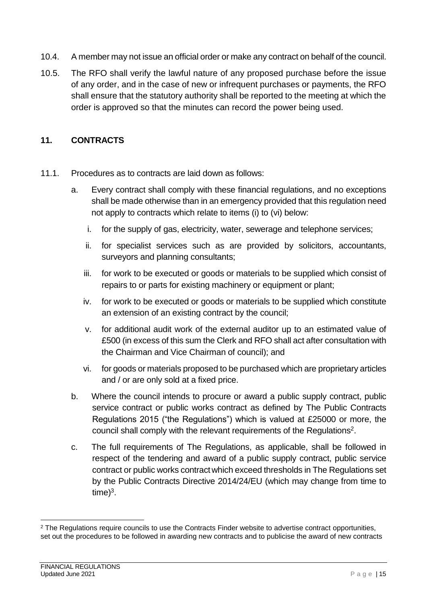- 10.4. A member may not issue an official order or make any contract on behalf of the council.
- 10.5. The RFO shall verify the lawful nature of any proposed purchase before the issue of any order, and in the case of new or infrequent purchases or payments, the RFO shall ensure that the statutory authority shall be reported to the meeting at which the order is approved so that the minutes can record the power being used.

#### <span id="page-15-0"></span>**11. CONTRACTS**

- 11.1. Procedures as to contracts are laid down as follows:
	- a. Every contract shall comply with these financial regulations, and no exceptions shall be made otherwise than in an emergency provided that this regulation need not apply to contracts which relate to items (i) to (vi) below:
		- i. for the supply of gas, electricity, water, sewerage and telephone services;
		- ii. for specialist services such as are provided by solicitors, accountants, surveyors and planning consultants;
		- iii. for work to be executed or goods or materials to be supplied which consist of repairs to or parts for existing machinery or equipment or plant;
		- iv. for work to be executed or goods or materials to be supplied which constitute an extension of an existing contract by the council;
		- v. for additional audit work of the external auditor up to an estimated value of £500 (in excess of this sum the Clerk and RFO shall act after consultation with the Chairman and Vice Chairman of council); and
		- vi. for goods or materials proposed to be purchased which are proprietary articles and / or are only sold at a fixed price.
	- b. Where the council intends to procure or award a public supply contract, public service contract or public works contract as defined by The Public Contracts Regulations 2015 ("the Regulations") which is valued at £25000 or more, the council shall comply with the relevant requirements of the Regulations<sup>2</sup>.
	- c. The full requirements of The Regulations, as applicable, shall be followed in respect of the tendering and award of a public supply contract, public service contract or public works contractwhich exceed thresholds in The Regulations set by the Public Contracts Directive 2014/24/EU (which may change from time to  $time)^3$ .

1

<sup>&</sup>lt;sup>2</sup> The Regulations require councils to use the Contracts Finder website to advertise contract opportunities, set out the procedures to be followed in awarding new contracts and to publicise the award of new contracts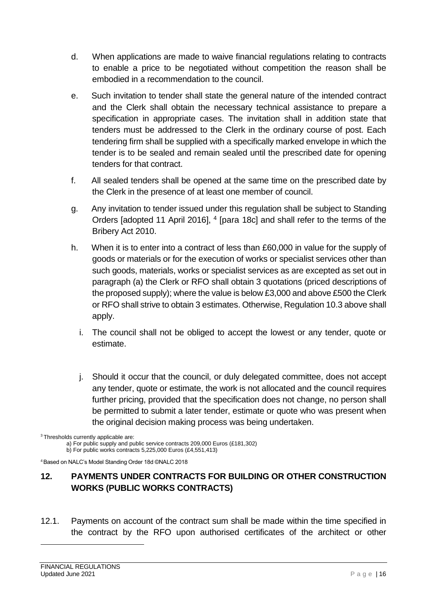- d. When applications are made to waive financial regulations relating to contracts to enable a price to be negotiated without competition the reason shall be embodied in a recommendation to the council.
- e. Such invitation to tender shall state the general nature of the intended contract and the Clerk shall obtain the necessary technical assistance to prepare a specification in appropriate cases. The invitation shall in addition state that tenders must be addressed to the Clerk in the ordinary course of post. Each tendering firm shall be supplied with a specifically marked envelope in which the tender is to be sealed and remain sealed until the prescribed date for opening tenders for that contract.
- f. All sealed tenders shall be opened at the same time on the prescribed date by the Clerk in the presence of at least one member of council.
- g. Any invitation to tender issued under this regulation shall be subject to Standing Orders [adopted 11 April 2016], <sup>4</sup> [para 18c] and shall refer to the terms of the Bribery Act 2010.
- h. When it is to enter into a contract of less than £60,000 in value for the supply of goods or materials or for the execution of works or specialist services other than such goods, materials, works or specialist services as are excepted as set out in paragraph (a) the Clerk or RFO shall obtain 3 quotations (priced descriptions of the proposed supply); where the value is below £3,000 and above £500 the Clerk or RFO shall strive to obtain 3 estimates. Otherwise, Regulation 10.3 above shall apply.
	- i. The council shall not be obliged to accept the lowest or any tender, quote or estimate.
	- j. Should it occur that the council, or duly delegated committee, does not accept any tender, quote or estimate, the work is not allocated and the council requires further pricing, provided that the specification does not change, no person shall be permitted to submit a later tender, estimate or quote who was present when the original decision making process was being undertaken.

a) For public supply and public service contracts 209,000 Euros (£181,302)

b) For public works contracts 5,225,000 Euros (£4,551,413)

<sup>4</sup>Based on NALC's Model Standing Order 18d ©NALC 2018

#### <span id="page-16-0"></span>**12. PAYMENTS UNDER CONTRACTS FOR BUILDING OR OTHER CONSTRUCTION WORKS (PUBLIC WORKS CONTRACTS)**

12.1. Payments on account of the contract sum shall be made within the time specified in the contract by the RFO upon authorised certificates of the architect or other

1

<sup>&</sup>lt;sup>3</sup>Thresholds currently applicable are: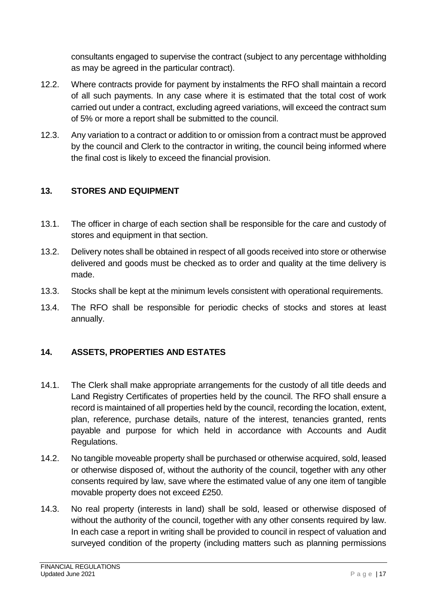consultants engaged to supervise the contract (subject to any percentage withholding as may be agreed in the particular contract).

- 12.2. Where contracts provide for payment by instalments the RFO shall maintain a record of all such payments. In any case where it is estimated that the total cost of work carried out under a contract, excluding agreed variations, will exceed the contract sum of 5% or more a report shall be submitted to the council.
- 12.3. Any variation to a contract or addition to or omission from a contract must be approved by the council and Clerk to the contractor in writing, the council being informed where the final cost is likely to exceed the financial provision.

#### <span id="page-17-0"></span>**13. STORES AND EQUIPMENT**

- 13.1. The officer in charge of each section shall be responsible for the care and custody of stores and equipment in that section.
- 13.2. Delivery notes shall be obtained in respect of all goods received into store or otherwise delivered and goods must be checked as to order and quality at the time delivery is made.
- 13.3. Stocks shall be kept at the minimum levels consistent with operational requirements.
- 13.4. The RFO shall be responsible for periodic checks of stocks and stores at least annually.

#### <span id="page-17-1"></span>**14. ASSETS, PROPERTIES AND ESTATES**

- 14.1. The Clerk shall make appropriate arrangements for the custody of all title deeds and Land Registry Certificates of properties held by the council. The RFO shall ensure a record is maintained of all properties held by the council, recording the location, extent, plan, reference, purchase details, nature of the interest, tenancies granted, rents payable and purpose for which held in accordance with Accounts and Audit Regulations.
- 14.2. No tangible moveable property shall be purchased or otherwise acquired, sold, leased or otherwise disposed of, without the authority of the council, together with any other consents required by law, save where the estimated value of any one item of tangible movable property does not exceed £250.
- 14.3. No real property (interests in land) shall be sold, leased or otherwise disposed of without the authority of the council, together with any other consents required by law. In each case a report in writing shall be provided to council in respect of valuation and surveyed condition of the property (including matters such as planning permissions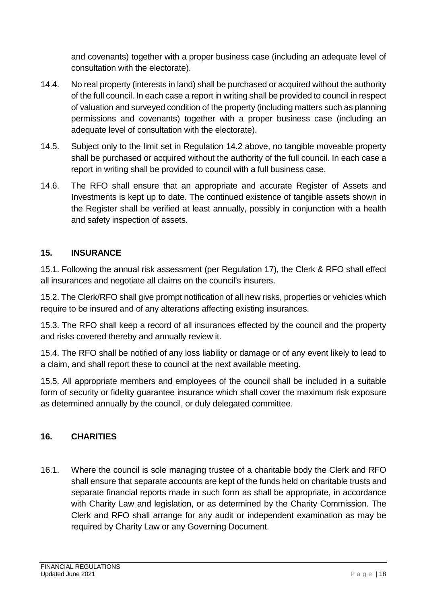and covenants) together with a proper business case (including an adequate level of consultation with the electorate).

- 14.4. No real property (interests in land) shall be purchased or acquired without the authority of the full council. In each case a report in writing shall be provided to council in respect of valuation and surveyed condition of the property (including matters such as planning permissions and covenants) together with a proper business case (including an adequate level of consultation with the electorate).
- 14.5. Subject only to the limit set in Regulation 14.2 above, no tangible moveable property shall be purchased or acquired without the authority of the full council. In each case a report in writing shall be provided to council with a full business case.
- 14.6. The RFO shall ensure that an appropriate and accurate Register of Assets and Investments is kept up to date. The continued existence of tangible assets shown in the Register shall be verified at least annually, possibly in conjunction with a health and safety inspection of assets.

#### <span id="page-18-0"></span>**15. INSURANCE**

15.1. Following the annual risk assessment (per Regulation 17), the Clerk & RFO shall effect all insurances and negotiate all claims on the council's insurers.

15.2. The Clerk/RFO shall give prompt notification of all new risks, properties or vehicles which require to be insured and of any alterations affecting existing insurances.

15.3. The RFO shall keep a record of all insurances effected by the council and the property and risks covered thereby and annually review it.

15.4. The RFO shall be notified of any loss liability or damage or of any event likely to lead to a claim, and shall report these to council at the next available meeting.

15.5. All appropriate members and employees of the council shall be included in a suitable form of security or fidelity guarantee insurance which shall cover the maximum risk exposure as determined annually by the council, or duly delegated committee.

# <span id="page-18-1"></span>**16. CHARITIES**

16.1. Where the council is sole managing trustee of a charitable body the Clerk and RFO shall ensure that separate accounts are kept of the funds held on charitable trusts and separate financial reports made in such form as shall be appropriate, in accordance with Charity Law and legislation, or as determined by the Charity Commission. The Clerk and RFO shall arrange for any audit or independent examination as may be required by Charity Law or any Governing Document.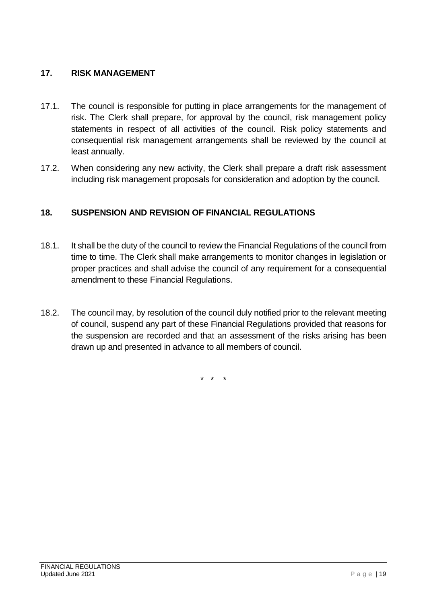#### <span id="page-19-0"></span>**17. RISK MANAGEMENT**

- 17.1. The council is responsible for putting in place arrangements for the management of risk. The Clerk shall prepare, for approval by the council, risk management policy statements in respect of all activities of the council. Risk policy statements and consequential risk management arrangements shall be reviewed by the council at least annually.
- 17.2. When considering any new activity, the Clerk shall prepare a draft risk assessment including risk management proposals for consideration and adoption by the council.

#### <span id="page-19-1"></span>**18. SUSPENSION AND REVISION OF FINANCIAL REGULATIONS**

- 18.1. It shall be the duty of the council to review the Financial Regulations of the council from time to time. The Clerk shall make arrangements to monitor changes in legislation or proper practices and shall advise the council of any requirement for a consequential amendment to these Financial Regulations.
- 18.2. The council may, by resolution of the council duly notified prior to the relevant meeting of council, suspend any part of these Financial Regulations provided that reasons for the suspension are recorded and that an assessment of the risks arising has been drawn up and presented in advance to all members of council.

 $\star$